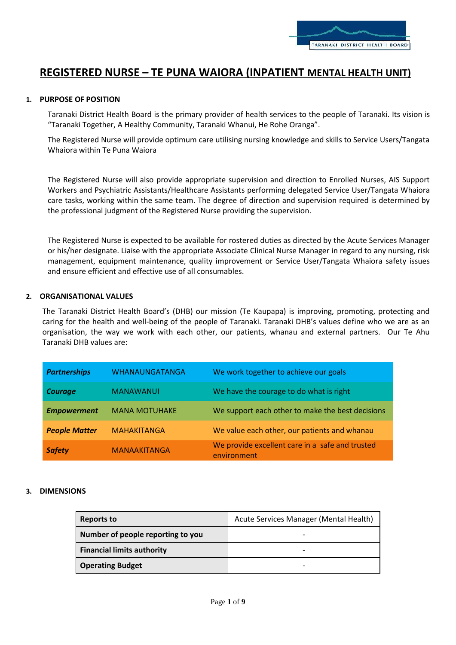

# **REGISTERED NURSE – TE PUNA WAIORA (INPATIENT MENTAL HEALTH UNIT)**

## **1. PURPOSE OF POSITION**

Taranaki District Health Board is the primary provider of health services to the people of Taranaki. Its vision is "Taranaki Together, A Healthy Community, Taranaki Whanui, He Rohe Oranga".

The Registered Nurse will provide optimum care utilising nursing knowledge and skills to Service Users/Tangata Whaiora within Te Puna Waiora

The Registered Nurse will also provide appropriate supervision and direction to Enrolled Nurses, AIS Support Workers and Psychiatric Assistants/Healthcare Assistants performing delegated Service User/Tangata Whaiora care tasks, working within the same team. The degree of direction and supervision required is determined by the professional judgment of the Registered Nurse providing the supervision.

The Registered Nurse is expected to be available for rostered duties as directed by the Acute Services Manager or his/her designate. Liaise with the appropriate Associate Clinical Nurse Manager in regard to any nursing, risk management, equipment maintenance, quality improvement or Service User/Tangata Whaiora safety issues and ensure efficient and effective use of all consumables.

## **2. ORGANISATIONAL VALUES**

The Taranaki District Health Board's (DHB) our mission (Te Kaupapa) is improving, promoting, protecting and caring for the health and well-being of the people of Taranaki. Taranaki DHB's values define who we are as an organisation, the way we work with each other, our patients, whanau and external partners. Our Te Ahu Taranaki DHB values are:

| <b>Partnerships</b>  | WHANAUNGATANGA       | We work together to achieve our goals                          |
|----------------------|----------------------|----------------------------------------------------------------|
| <b>Courage</b>       | <b>MANAWANUI</b>     | We have the courage to do what is right                        |
| <b>Empowerment</b>   | <b>MANA MOTUHAKE</b> | We support each other to make the best decisions               |
| <b>People Matter</b> | <b>MAHAKITANGA</b>   | We value each other, our patients and whanau                   |
| <b>Safety</b>        | <b>MANAAKITANGA</b>  | We provide excellent care in a safe and trusted<br>environment |

## **3. DIMENSIONS**

| Reports to                        | Acute Services Manager (Mental Health) |
|-----------------------------------|----------------------------------------|
| Number of people reporting to you |                                        |
| <b>Financial limits authority</b> |                                        |
| <b>Operating Budget</b>           |                                        |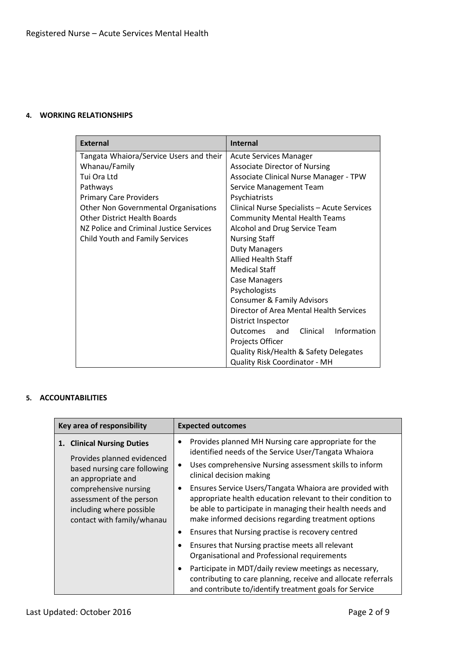# **4. WORKING RELATIONSHIPS**

| <b>External</b>                             | <b>Internal</b>                             |
|---------------------------------------------|---------------------------------------------|
| Tangata Whaiora/Service Users and their     | <b>Acute Services Manager</b>               |
| Whanau/Family                               | <b>Associate Director of Nursing</b>        |
| Tui Ora Ltd                                 | Associate Clinical Nurse Manager - TPW      |
| Pathways                                    | Service Management Team                     |
| <b>Primary Care Providers</b>               | Psychiatrists                               |
| <b>Other Non Governmental Organisations</b> | Clinical Nurse Specialists - Acute Services |
| <b>Other District Health Boards</b>         | <b>Community Mental Health Teams</b>        |
| NZ Police and Criminal Justice Services     | Alcohol and Drug Service Team               |
| <b>Child Youth and Family Services</b>      | <b>Nursing Staff</b>                        |
|                                             | <b>Duty Managers</b>                        |
|                                             | <b>Allied Health Staff</b>                  |
|                                             | <b>Medical Staff</b>                        |
|                                             | <b>Case Managers</b>                        |
|                                             | Psychologists                               |
|                                             | <b>Consumer &amp; Family Advisors</b>       |
|                                             | Director of Area Mental Health Services     |
|                                             | District Inspector                          |
|                                             | Information<br>Clinical<br>Outcomes<br>and  |
|                                             | Projects Officer                            |
|                                             | Quality Risk/Health & Safety Delegates      |
|                                             | Quality Risk Coordinator - MH               |

# **5. ACCOUNTABILITIES**

| Key area of responsibility                                                                                                                                                                                                    | <b>Expected outcomes</b>                                                                                                                                                                                                                   |  |
|-------------------------------------------------------------------------------------------------------------------------------------------------------------------------------------------------------------------------------|--------------------------------------------------------------------------------------------------------------------------------------------------------------------------------------------------------------------------------------------|--|
| 1. Clinical Nursing Duties<br>Provides planned evidenced<br>based nursing care following<br>an appropriate and<br>comprehensive nursing<br>assessment of the person<br>including where possible<br>contact with family/whanau | Provides planned MH Nursing care appropriate for the<br>identified needs of the Service User/Tangata Whaiora                                                                                                                               |  |
|                                                                                                                                                                                                                               | Uses comprehensive Nursing assessment skills to inform<br>clinical decision making                                                                                                                                                         |  |
|                                                                                                                                                                                                                               | Ensures Service Users/Tangata Whaiora are provided with<br>appropriate health education relevant to their condition to<br>be able to participate in managing their health needs and<br>make informed decisions regarding treatment options |  |
|                                                                                                                                                                                                                               | Ensures that Nursing practise is recovery centred<br>$\bullet$                                                                                                                                                                             |  |
|                                                                                                                                                                                                                               | Ensures that Nursing practise meets all relevant<br>Organisational and Professional requirements                                                                                                                                           |  |
|                                                                                                                                                                                                                               | Participate in MDT/daily review meetings as necessary,<br>contributing to care planning, receive and allocate referrals<br>and contribute to/identify treatment goals for Service                                                          |  |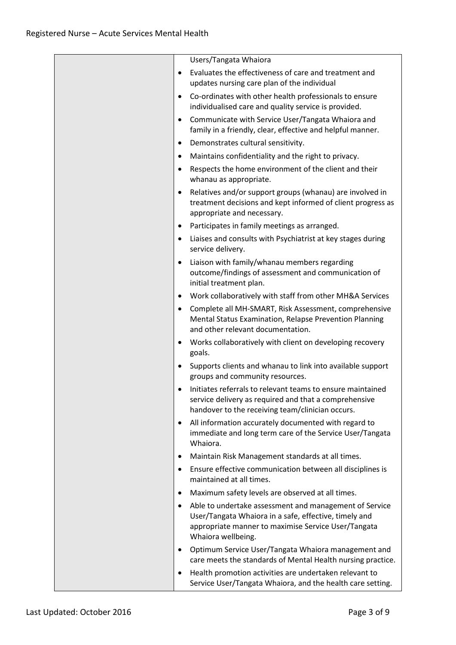|           | Users/Tangata Whaiora                                                                                                                                                                        |
|-----------|----------------------------------------------------------------------------------------------------------------------------------------------------------------------------------------------|
| $\bullet$ | Evaluates the effectiveness of care and treatment and<br>updates nursing care plan of the individual                                                                                         |
| $\bullet$ | Co-ordinates with other health professionals to ensure<br>individualised care and quality service is provided.                                                                               |
| $\bullet$ | Communicate with Service User/Tangata Whaiora and<br>family in a friendly, clear, effective and helpful manner.                                                                              |
| $\bullet$ | Demonstrates cultural sensitivity.                                                                                                                                                           |
| ٠         | Maintains confidentiality and the right to privacy.                                                                                                                                          |
| $\bullet$ | Respects the home environment of the client and their<br>whanau as appropriate.                                                                                                              |
| $\bullet$ | Relatives and/or support groups (whanau) are involved in<br>treatment decisions and kept informed of client progress as<br>appropriate and necessary.                                        |
| $\bullet$ | Participates in family meetings as arranged.                                                                                                                                                 |
| $\bullet$ | Liaises and consults with Psychiatrist at key stages during<br>service delivery.                                                                                                             |
| $\bullet$ | Liaison with family/whanau members regarding<br>outcome/findings of assessment and communication of<br>initial treatment plan.                                                               |
| $\bullet$ | Work collaboratively with staff from other MH&A Services                                                                                                                                     |
| $\bullet$ | Complete all MH-SMART, Risk Assessment, comprehensive<br>Mental Status Examination, Relapse Prevention Planning<br>and other relevant documentation.                                         |
| ٠         | Works collaboratively with client on developing recovery<br>goals.                                                                                                                           |
| $\bullet$ | Supports clients and whanau to link into available support<br>groups and community resources.                                                                                                |
|           | Initiates referrals to relevant teams to ensure maintained<br>service delivery as required and that a comprehensive<br>handover to the receiving team/clinician occurs.                      |
| $\bullet$ | All information accurately documented with regard to<br>immediate and long term care of the Service User/Tangata<br>Whaiora.                                                                 |
| ٠         | Maintain Risk Management standards at all times.                                                                                                                                             |
| $\bullet$ | Ensure effective communication between all disciplines is<br>maintained at all times.                                                                                                        |
| ٠         | Maximum safety levels are observed at all times.                                                                                                                                             |
| $\bullet$ | Able to undertake assessment and management of Service<br>User/Tangata Whaiora in a safe, effective, timely and<br>appropriate manner to maximise Service User/Tangata<br>Whaiora wellbeing. |
| $\bullet$ | Optimum Service User/Tangata Whaiora management and<br>care meets the standards of Mental Health nursing practice.                                                                           |
| $\bullet$ | Health promotion activities are undertaken relevant to<br>Service User/Tangata Whaiora, and the health care setting.                                                                         |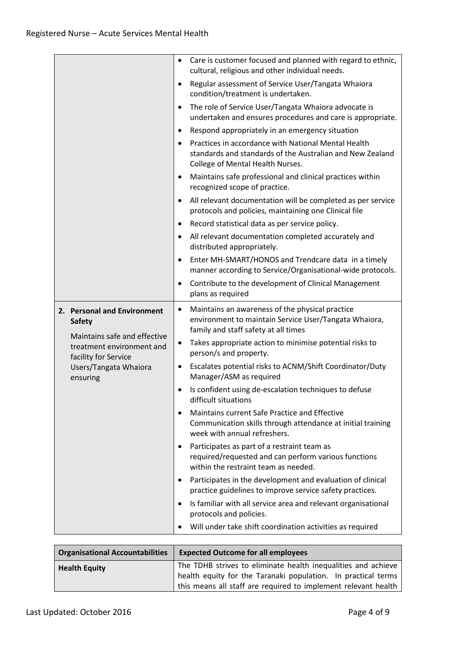|                                                                                   | Care is customer focused and planned with regard to ethnic,<br>٠<br>cultural, religious and other individual needs.                                       |
|-----------------------------------------------------------------------------------|-----------------------------------------------------------------------------------------------------------------------------------------------------------|
|                                                                                   | Regular assessment of Service User/Tangata Whaiora<br>$\bullet$<br>condition/treatment is undertaken.                                                     |
|                                                                                   | The role of Service User/Tangata Whaiora advocate is<br>$\bullet$<br>undertaken and ensures procedures and care is appropriate.                           |
|                                                                                   | Respond appropriately in an emergency situation<br>$\bullet$                                                                                              |
|                                                                                   | Practices in accordance with National Mental Health<br>standards and standards of the Australian and New Zealand<br>College of Mental Health Nurses.      |
|                                                                                   | Maintains safe professional and clinical practices within<br>$\bullet$<br>recognized scope of practice.                                                   |
|                                                                                   | All relevant documentation will be completed as per service<br>٠<br>protocols and policies, maintaining one Clinical file                                 |
|                                                                                   | Record statistical data as per service policy.                                                                                                            |
|                                                                                   | All relevant documentation completed accurately and<br>٠<br>distributed appropriately.                                                                    |
|                                                                                   | Enter MH-SMART/HONOS and Trendcare data in a timely<br>$\bullet$<br>manner according to Service/Organisational-wide protocols.                            |
|                                                                                   | Contribute to the development of Clinical Management<br>plans as required                                                                                 |
| 2. Personal and Environment<br><b>Safety</b>                                      | Maintains an awareness of the physical practice<br>٠<br>environment to maintain Service User/Tangata Whaiora,<br>family and staff safety at all times     |
| Maintains safe and effective<br>treatment environment and<br>facility for Service | Takes appropriate action to minimise potential risks to<br>٠<br>person/s and property.                                                                    |
| Users/Tangata Whaiora<br>ensuring                                                 | Escalates potential risks to ACNM/Shift Coordinator/Duty<br>٠<br>Manager/ASM as required                                                                  |
|                                                                                   | Is confident using de-escalation techniques to defuse<br>$\bullet$<br>difficult situations                                                                |
|                                                                                   | Maintains current Safe Practice and Effective<br>$\bullet$<br>Communication skills through attendance at initial training<br>week with annual refreshers. |
|                                                                                   | Participates as part of a restraint team as<br>٠<br>required/requested and can perform various functions<br>within the restraint team as needed.          |
|                                                                                   | Participates in the development and evaluation of clinical<br>$\bullet$<br>practice guidelines to improve service safety practices.                       |
|                                                                                   | Is familiar with all service area and relevant organisational<br>$\bullet$<br>protocols and policies.                                                     |
|                                                                                   | Will under take shift coordination activities as required                                                                                                 |

| <b>Organisational Accountabilities</b> | <b>Expected Outcome for all employees</b>                                                                                                                                                        |
|----------------------------------------|--------------------------------------------------------------------------------------------------------------------------------------------------------------------------------------------------|
| <b>Health Equity</b>                   | The TDHB strives to eliminate health inequalities and achieve<br>health equity for the Taranaki population. In practical terms<br>this means all staff are required to implement relevant health |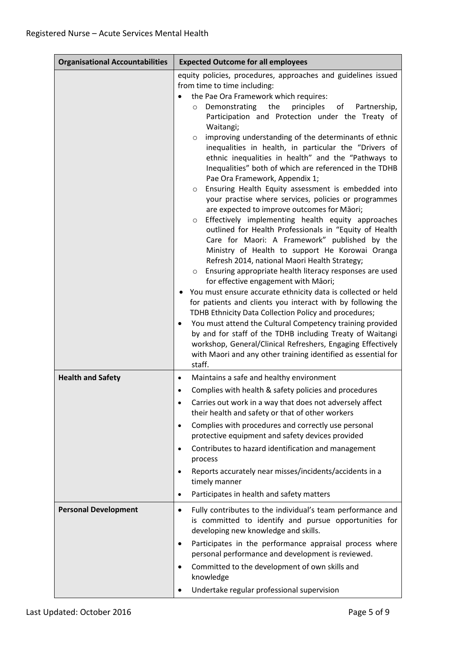| <b>Organisational Accountabilities</b> | <b>Expected Outcome for all employees</b>                                                                                                                                                                                                                                                                                                                                                                                                                                                                                                                                                                                                                                                                                                                                                                                                                                                                                                                                                                                                                                                                                                                                                                                                                                                                                                                                                                                                                                                                                                                                                                         |
|----------------------------------------|-------------------------------------------------------------------------------------------------------------------------------------------------------------------------------------------------------------------------------------------------------------------------------------------------------------------------------------------------------------------------------------------------------------------------------------------------------------------------------------------------------------------------------------------------------------------------------------------------------------------------------------------------------------------------------------------------------------------------------------------------------------------------------------------------------------------------------------------------------------------------------------------------------------------------------------------------------------------------------------------------------------------------------------------------------------------------------------------------------------------------------------------------------------------------------------------------------------------------------------------------------------------------------------------------------------------------------------------------------------------------------------------------------------------------------------------------------------------------------------------------------------------------------------------------------------------------------------------------------------------|
|                                        | equity policies, procedures, approaches and guidelines issued<br>from time to time including:<br>the Pae Ora Framework which requires:<br>principles<br>Demonstrating<br>the<br>of<br>Partnership,<br>$\circ$<br>Participation and Protection under the Treaty of<br>Waitangi;<br>improving understanding of the determinants of ethnic<br>$\circ$<br>inequalities in health, in particular the "Drivers of<br>ethnic inequalities in health" and the "Pathways to<br>Inequalities" both of which are referenced in the TDHB<br>Pae Ora Framework, Appendix 1;<br>Ensuring Health Equity assessment is embedded into<br>$\circ$<br>your practise where services, policies or programmes<br>are expected to improve outcomes for Māori;<br>Effectively implementing health equity approaches<br>$\circ$<br>outlined for Health Professionals in "Equity of Health<br>Care for Maori: A Framework" published by the<br>Ministry of Health to support He Korowai Oranga<br>Refresh 2014, national Maori Health Strategy;<br>Ensuring appropriate health literacy responses are used<br>$\circ$<br>for effective engagement with Māori;<br>You must ensure accurate ethnicity data is collected or held<br>٠<br>for patients and clients you interact with by following the<br>TDHB Ethnicity Data Collection Policy and procedures;<br>You must attend the Cultural Competency training provided<br>$\bullet$<br>by and for staff of the TDHB including Treaty of Waitangi<br>workshop, General/Clinical Refreshers, Engaging Effectively<br>with Maori and any other training identified as essential for<br>staff. |
| <b>Health and Safety</b>               | Maintains a safe and healthy environment<br>$\bullet$<br>Complies with health & safety policies and procedures<br>Carries out work in a way that does not adversely affect<br>$\bullet$<br>their health and safety or that of other workers<br>Complies with procedures and correctly use personal<br>$\bullet$<br>protective equipment and safety devices provided<br>Contributes to hazard identification and management<br>$\bullet$<br>process<br>Reports accurately near misses/incidents/accidents in a<br>$\bullet$<br>timely manner<br>Participates in health and safety matters<br>$\bullet$                                                                                                                                                                                                                                                                                                                                                                                                                                                                                                                                                                                                                                                                                                                                                                                                                                                                                                                                                                                                             |
| <b>Personal Development</b>            | Fully contributes to the individual's team performance and<br>٠<br>is committed to identify and pursue opportunities for<br>developing new knowledge and skills.<br>Participates in the performance appraisal process where<br>$\bullet$<br>personal performance and development is reviewed.<br>Committed to the development of own skills and<br>$\bullet$<br>knowledge<br>Undertake regular professional supervision<br>٠                                                                                                                                                                                                                                                                                                                                                                                                                                                                                                                                                                                                                                                                                                                                                                                                                                                                                                                                                                                                                                                                                                                                                                                      |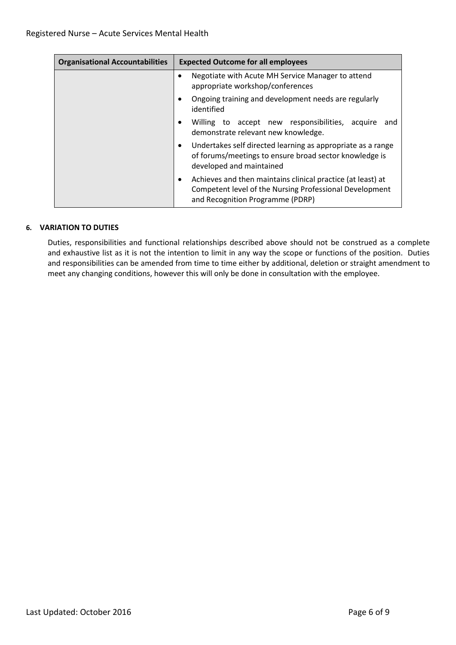| <b>Organisational Accountabilities</b> | <b>Expected Outcome for all employees</b>                                                                                                                       |
|----------------------------------------|-----------------------------------------------------------------------------------------------------------------------------------------------------------------|
|                                        | Negotiate with Acute MH Service Manager to attend<br>appropriate workshop/conferences                                                                           |
|                                        | Ongoing training and development needs are regularly<br>identified                                                                                              |
|                                        | Willing to accept new responsibilities,<br>acquire<br>and<br>$\bullet$<br>demonstrate relevant new knowledge.                                                   |
|                                        | Undertakes self directed learning as appropriate as a range<br>٠<br>of forums/meetings to ensure broad sector knowledge is<br>developed and maintained          |
|                                        | Achieves and then maintains clinical practice (at least) at<br>٠<br>Competent level of the Nursing Professional Development<br>and Recognition Programme (PDRP) |

# **6. VARIATION TO DUTIES**

Duties, responsibilities and functional relationships described above should not be construed as a complete and exhaustive list as it is not the intention to limit in any way the scope or functions of the position. Duties and responsibilities can be amended from time to time either by additional, deletion or straight amendment to meet any changing conditions, however this will only be done in consultation with the employee.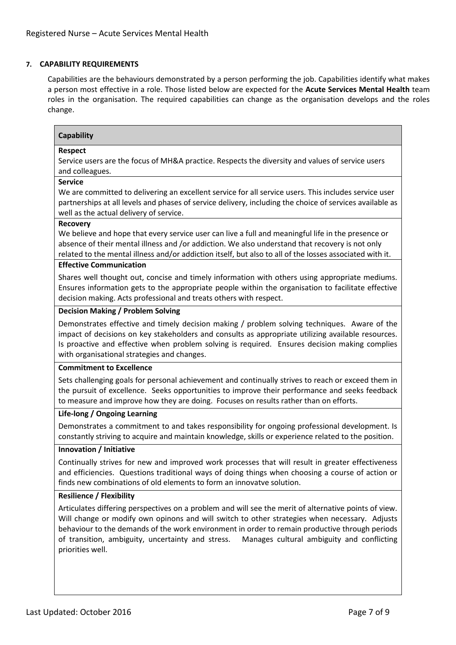# **7. CAPABILITY REQUIREMENTS**

Capabilities are the behaviours demonstrated by a person performing the job. Capabilities identify what makes a person most effective in a role. Those listed below are expected for the **Acute Services Mental Health** team roles in the organisation. The required capabilities can change as the organisation develops and the roles change.

# **Capability**

## **Respect**

Service users are the focus of MH&A practice. Respects the diversity and values of service users and colleagues.

#### **Service**

We are committed to delivering an excellent service for all service users. This includes service user partnerships at all levels and phases of service delivery, including the choice of services available as well as the actual delivery of service.

#### **Recovery**

We believe and hope that every service user can live a full and meaningful life in the presence or absence of their mental illness and /or addiction. We also understand that recovery is not only related to the mental illness and/or addiction itself, but also to all of the losses associated with it.

#### **Effective Communication**

Shares well thought out, concise and timely information with others using appropriate mediums. Ensures information gets to the appropriate people within the organisation to facilitate effective decision making. Acts professional and treats others with respect.

## **Decision Making / Problem Solving**

Demonstrates effective and timely decision making / problem solving techniques. Aware of the impact of decisions on key stakeholders and consults as appropriate utilizing available resources. Is proactive and effective when problem solving is required. Ensures decision making complies with organisational strategies and changes.

#### **Commitment to Excellence**

Sets challenging goals for personal achievement and continually strives to reach or exceed them in the pursuit of excellence. Seeks opportunities to improve their performance and seeks feedback to measure and improve how they are doing. Focuses on results rather than on efforts.

## **Life-long / Ongoing Learning**

Demonstrates a commitment to and takes responsibility for ongoing professional development. Is constantly striving to acquire and maintain knowledge, skills or experience related to the position.

#### **Innovation / Initiative**

Continually strives for new and improved work processes that will result in greater effectiveness and efficiencies. Questions traditional ways of doing things when choosing a course of action or finds new combinations of old elements to form an innovatve solution.

#### **Resilience / Flexibility**

Articulates differing perspectives on a problem and will see the merit of alternative points of view. Will change or modify own opinons and will switch to other strategies when necessary. Adjusts behaviour to the demands of the work environment in order to remain productive through periods of transition, ambiguity, uncertainty and stress. Manages cultural ambiguity and conflicting priorities well.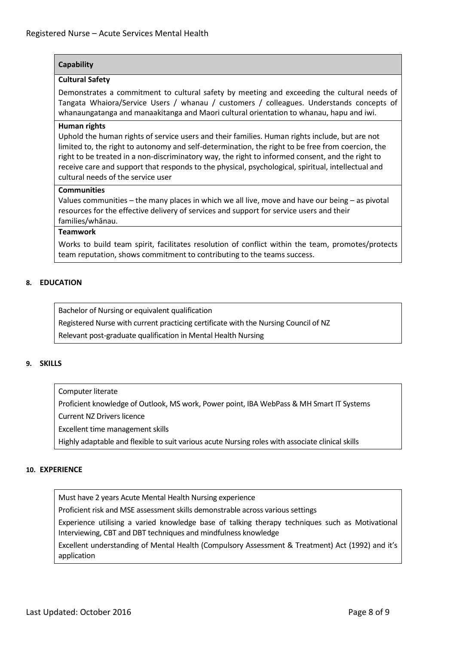# **Capability**

## **Cultural Safety**

Demonstrates a commitment to cultural safety by meeting and exceeding the cultural needs of Tangata Whaiora/Service Users / whanau / customers / colleagues. Understands concepts of whanaungatanga and manaakitanga and Maori cultural orientation to whanau, hapu and iwi.

## **Human rights**

Uphold the human rights of service users and their families. Human rights include, but are not limited to, the right to autonomy and self-determination, the right to be free from coercion, the right to be treated in a non-discriminatory way, the right to informed consent, and the right to receive care and support that responds to the physical, psychological, spiritual, intellectual and cultural needs of the service user

## **Communities**

Values communities – the many places in which we all live, move and have our being – as pivotal resources for the effective delivery of services and support for service users and their families/whānau.

# **Teamwork**

Works to build team spirit, facilitates resolution of conflict within the team, promotes/protects team reputation, shows commitment to contributing to the teams success.

# **8. EDUCATION**

Bachelor of Nursing or equivalent qualification

Registered Nurse with current practicing certificate with the Nursing Council of NZ

Relevant post-graduate qualification in Mental Health Nursing

#### **9. SKILLS**

#### Computer literate

Proficient knowledge of Outlook, MS work, Power point, IBA WebPass & MH Smart IT Systems

Current NZ Drivers licence

Excellent time management skills

Highly adaptable and flexible to suit various acute Nursing roles with associate clinical skills

#### **10. EXPERIENCE**

Must have 2 years Acute Mental Health Nursing experience

Proficient risk and MSE assessment skills demonstrable across various settings

Experience utilising a varied knowledge base of talking therapy techniques such as Motivational Interviewing, CBT and DBT techniques and mindfulness knowledge

Excellent understanding of Mental Health (Compulsory Assessment & Treatment) Act (1992) and it's application